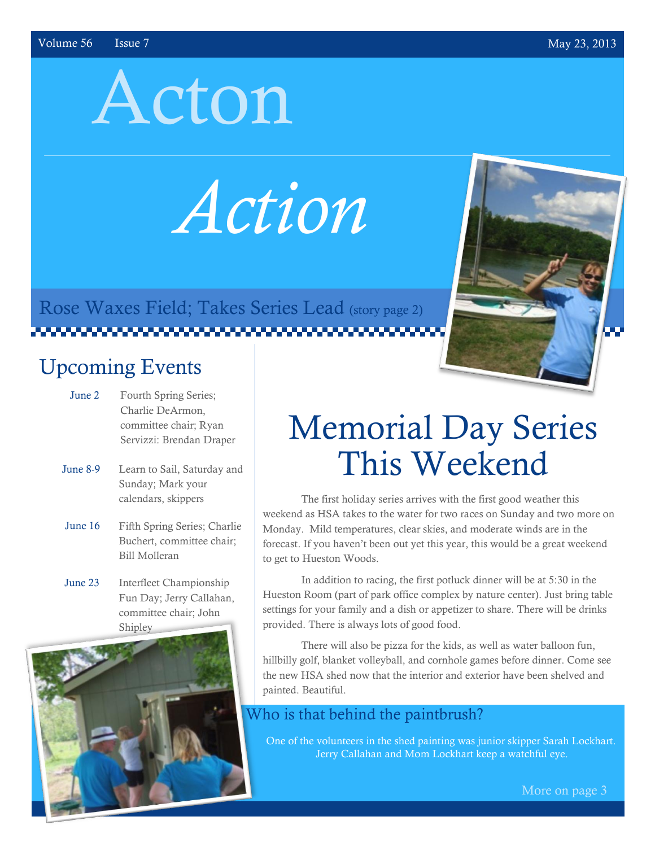# Acton

*Action*

Rose Waxes Field; Takes Series Lead (story page 2) 

### Upcoming Events

- June 2 Fourth Spring Series; Charlie DeArmon, committee chair; Ryan Servizzi: Brendan Draper
- June 8-9 Learn to Sail, Saturday and Sunday; Mark your calendars, skippers
- June 16 Fifth Spring Series; Charlie Buchert, committee chair; Bill Molleran
- June 23 Interfleet Championship Fun Day; Jerry Callahan, committee chair; John Shipley



## Memorial Day Series This Weekend

The first holiday series arrives with the first good weather this weekend as HSA takes to the water for two races on Sunday and two more on Monday. Mild temperatures, clear skies, and moderate winds are in the forecast. If you haven't been out yet this year, this would be a great weekend to get to Hueston Woods.

In addition to racing, the first potluck dinner will be at 5:30 in the Hueston Room (part of park office complex by nature center). Just bring table settings for your family and a dish or appetizer to share. There will be drinks provided. There is always lots of good food.

There will also be pizza for the kids, as well as water balloon fun, hillbilly golf, blanket volleyball, and cornhole games before dinner. Come see the new HSA shed now that the interior and exterior have been shelved and painted. Beautiful.

#### Who is that behind the paintbrush?

One of the volunteers in the shed painting was junior skipper Sarah Lockhart. Jerry Callahan and Mom Lockhart keep a watchful eye.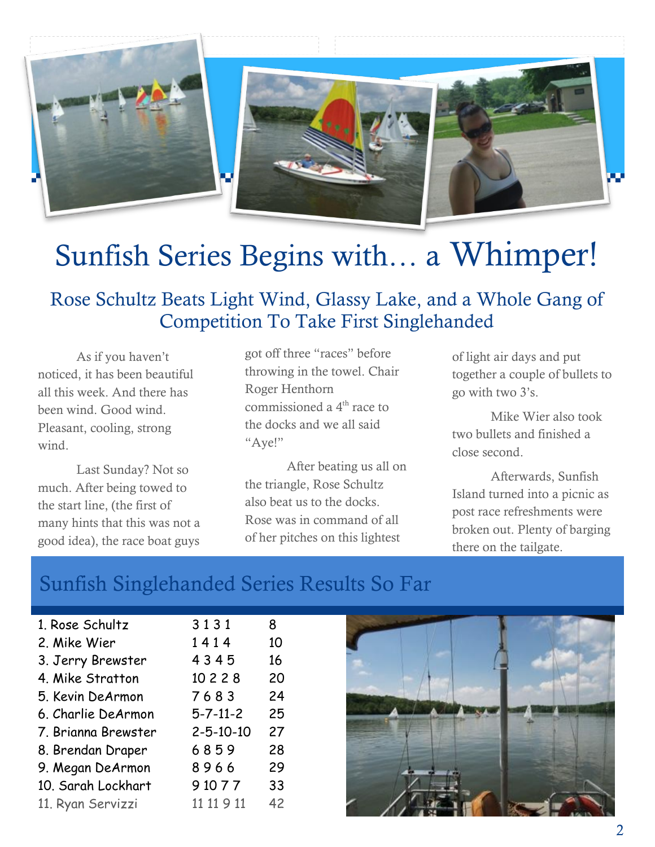

### Sunfish Series Begins with… a Whimper!

#### Rose Schultz Beats Light Wind, Glassy Lake, and a Whole Gang of Competition To Take First Singlehanded

As if you haven't noticed, it has been beautiful all this week. And there has been wind. Good wind. Pleasant, cooling, strong wind.

Last Sunday? Not so much. After being towed to the start line, (the first of many hints that this was not a good idea), the race boat guys

got off three "races" before throwing in the towel. Chair Roger Henthorn commissioned a 4<sup>th</sup> race to the docks and we all said "Aye!"

After beating us all on the triangle, Rose Schultz also beat us to the docks. Rose was in command of all of her pitches on this lightest

of light air days and put together a couple of bullets to go with two 3's.

Mike Wier also took two bullets and finished a close second.

Afterwards, Sunfish Island turned into a picnic as post race refreshments were broken out. Plenty of barging there on the tailgate.

### Sunfish Singlehanded Series Results So Far

| 1. Rose Schultz     | 3131              | 8  |
|---------------------|-------------------|----|
| 2. Mike Wier        | 1414              | 10 |
| 3. Jerry Brewster   | 4345              | 16 |
| 4. Mike Stratton    | 10 2 2 8          | 20 |
| 5. Kevin DeArmon    | 7683              | 24 |
| 6. Charlie DeArmon  | $5 - 7 - 11 - 2$  | 25 |
| 7. Brianna Brewster | $2 - 5 - 10 - 10$ | 27 |
| 8. Brendan Draper   | 6859              | 28 |
| 9. Megan DeArmon    | 8966              | 29 |
| 10. Sarah Lockhart  | 9 10 7 7          | 33 |
| 11. Ryan Servizzi   | 11 11 9 11        | 42 |

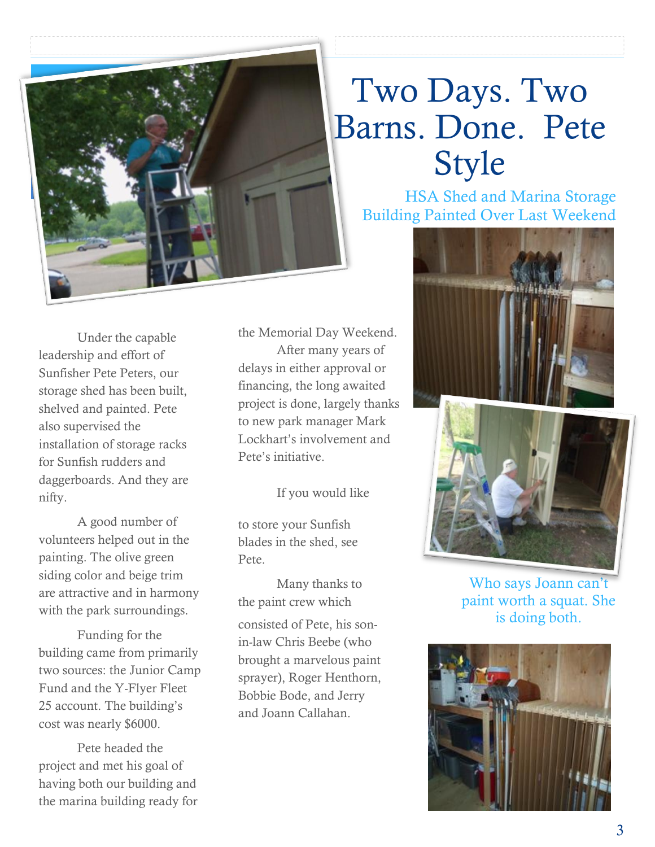

### Two Days. Two Barns. Done. Pete Style

HSA Shed and Marina Storage Building Painted Over Last Weekend

Under the capable leadership and effort of Sunfisher Pete Peters, our storage shed has been built, shelved and painted. Pete also supervised the installation of storage racks for Sunfish rudders and daggerboards. And they are nifty.

A good number of volunteers helped out in the painting. The olive green siding color and beige trim are attractive and in harmony with the park surroundings.

Funding for the building came from primarily two sources: the Junior Camp Fund and the Y-Flyer Fleet 25 account. The building's cost was nearly \$6000.

Pete headed the project and met his goal of having both our building and the marina building ready for the Memorial Day Weekend. After many years of delays in either approval or financing, the long awaited project is done, largely thanks to new park manager Mark Lockhart's involvement and Pete's initiative.

If you would like

to store your Sunfish blades in the shed, see Pete.

Many thanks to the paint crew which consisted of Pete, his sonin-law Chris Beebe (who brought a marvelous paint sprayer), Roger Henthorn, Bobbie Bode, and Jerry and Joann Callahan.





Who says Joann can't paint worth a squat. She is doing both.